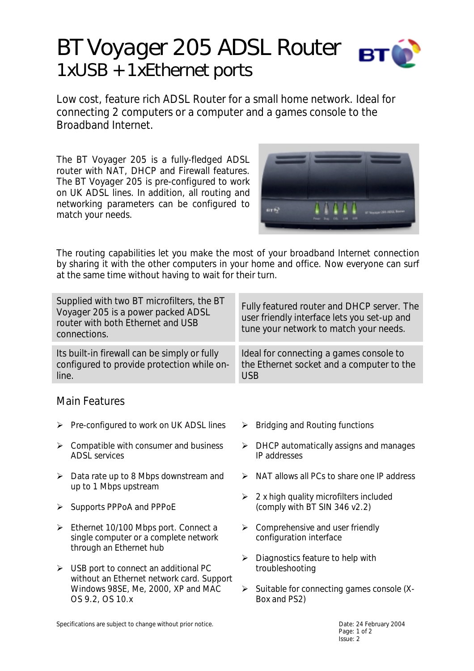# *BT Voyager 205 ADSL Router 1xUSB + 1xEthernet ports*

Low cost, feature rich ADSL Router for a small home network. Ideal for connecting 2 computers or a computer and a games console to the Broadband Internet.

The BT Voyager 205 is a fully-fledged ADSL router with NAT, DHCP and Firewall features. The BT Voyager 205 is pre-configured to work on UK ADSL lines. In addition, all routing and networking parameters can be configured to match your needs.



The routing capabilities let you make the most of your broadband Internet connection by sharing it with the other computers in your home and office. Now everyone can surf at the same time without having to wait for their turn.

| Supplied with two BT microfilters, the BT<br>Voyager 205 is a power packed ADSL<br>router with both Ethernet and USB<br>connections. |                                                                                                | Fully featured router and DHCP server. The<br>user friendly interface lets you set-up and<br>tune your network to match your needs. |                                                                         |
|--------------------------------------------------------------------------------------------------------------------------------------|------------------------------------------------------------------------------------------------|-------------------------------------------------------------------------------------------------------------------------------------|-------------------------------------------------------------------------|
| Its built-in firewall can be simply or fully<br>configured to provide protection while on-<br>line.                                  |                                                                                                | Ideal for connecting a games console to<br>the Ethernet socket and a computer to the<br><b>USB</b>                                  |                                                                         |
| <b>Main Features</b>                                                                                                                 |                                                                                                |                                                                                                                                     |                                                                         |
|                                                                                                                                      | $\triangleright$ Pre-configured to work on UK ADSL lines                                       | ➤                                                                                                                                   | Bridging and Routing functions                                          |
| ≻                                                                                                                                    | Compatible with consumer and business<br><b>ADSL</b> services                                  | ➤                                                                                                                                   | DHCP automatically assigns and manages<br>IP addresses                  |
| $\blacktriangleright$                                                                                                                | Data rate up to 8 Mbps downstream and<br>up to 1 Mbps upstream                                 | ➤                                                                                                                                   | NAT allows all PCs to share one IP address                              |
| ≻                                                                                                                                    | Supports PPPoA and PPPoE                                                                       | ➤                                                                                                                                   | 2 x high quality microfilters included<br>(comply with BT SIN 346 v2.2) |
|                                                                                                                                      | $\triangleright$ Ethernet 10/100 Mbps port. Connect a<br>single computer or a complete network | ➤                                                                                                                                   | Comprehensive and user friendly<br>configuration interface              |

through an Ethernet hub  $\triangleright$  USB port to connect an additional PC without an Ethernet network card. Support Windows 98SE, Me, 2000, XP and MAC

Specifications are subject to change without prior notice.<br>
Date: 24 February 2004

OS 9.2, OS 10.x

Page: 1 of 2 Issue: 2

 $\triangleright$  Diagnostics feature to help with

 $\triangleright$  Suitable for connecting games console (X-

troubleshooting

Box and PS2)